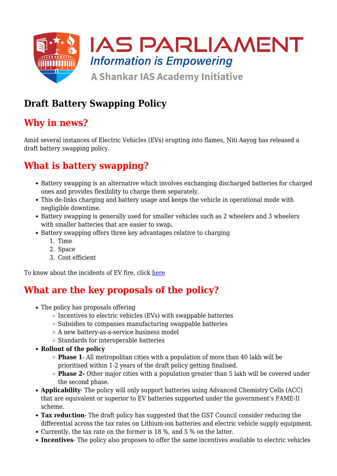

## **Draft Battery Swapping Policy**

#### **Why in news?**

Amid several instances of Electric Vehicles (EVs) erupting into flames, Niti Aayog has released a draft battery swapping policy.

## **What is battery swapping?**

- Battery swapping is an alternative which involves exchanging discharged batteries for charged ones and provides flexibility to charge them separately.
- This de-links charging and battery usage and keeps the vehicle in operational mode with negligible downtime.
- Battery swapping is generally used for smaller vehicles such as 2 wheelers and 3 wheelers with smaller batteries that are easier to swap**.**
- Battery swapping offers three key advantages relative to charging
	- 1. Time
	- 2. Space
	- 3. Cost efficient

To know about the incidents of EV fire, click [here](https://www.iasparliament.com/current-affairs/electric-vehicle-fires)

### **What are the key proposals of the policy?**

- The policy has proposals offering
	- $\circ$  Incentives to electric vehicles (EVs) with swappable batteries
	- o Subsidies to companies manufacturing swappable batteries
	- A new battery-as-a-service business model
	- Standards for interoperable batteries
- **Rollout of the policy**
	- **Phase 1** All metropolitan cities with a population of more than 40 lakh will be prioritised within 1-2 years of the draft policy getting finalised.
	- **Phase 2-** Other major cities with a population greater than 5 lakh will be covered under the second phase.
- **Applicability** The policy will only support batteries using Advanced Chemistry Cells (ACC) that are equivalent or superior to EV batteries supported under the government's FAME-II scheme.
- **Tax reduction** The draft policy has suggested that the GST Council consider reducing the differential across the tax rates on Lithium-ion batteries and electric vehicle supply equipment.
- Currently, the tax rate on the former is 18 %, and 5 % on the latter.
- **Incentives** The policy also proposes to offer the same incentives available to electric vehicles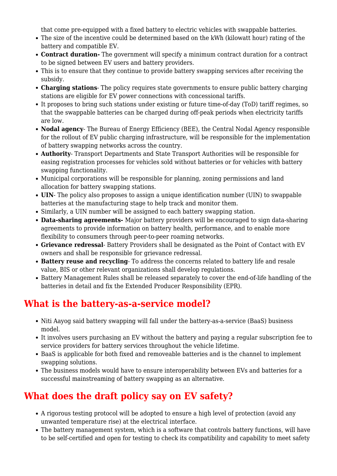that come pre-equipped with a fixed battery to electric vehicles with swappable batteries.

- The size of the incentive could be determined based on the kWh (kilowatt hour) rating of the battery and compatible EV.
- **Contract duration-** The government will specify a minimum contract duration for a contract to be signed between EV users and battery providers.
- This is to ensure that they continue to provide battery swapping services after receiving the subsidy.
- **Charging stations** The policy requires state governments to ensure public battery charging stations are eligible for EV power connections with concessional tariffs.
- It proposes to bring such stations under existing or future time-of-day (ToD) tariff regimes, so that the swappable batteries can be charged during off-peak periods when electricity tariffs are low.
- **Nodal agency** The Bureau of Energy Efficiency (BEE), the Central Nodal Agency responsible for the rollout of EV public charging infrastructure, will be responsible for the implementation of battery swapping networks across the country.
- **Authority** Transport Departments and State Transport Authorities will be responsible for easing registration processes for vehicles sold without batteries or for vehicles with battery swapping functionality.
- Municipal corporations will be responsible for planning, zoning permissions and land allocation for battery swapping stations.
- **UIN** The policy also proposes to assign a unique identification number (UIN) to swappable batteries at the manufacturing stage to help track and monitor them.
- Similarly, a UIN number will be assigned to each battery swapping station.
- **Data-sharing agreements-** Major battery providers will be encouraged to sign data-sharing agreements to provide information on battery health, performance, and to enable more flexibility to consumers through peer-to-peer roaming networks.
- **Grievance redressal** Battery Providers shall be designated as the Point of Contact with EV owners and shall be responsible for grievance redressal.
- **Battery reuse and recycling** To address the concerns related to battery life and resale value, BIS or other relevant organizations shall develop regulations.
- Battery Management Rules shall be released separately to cover the end-of-life handling of the batteries in detail and fix the Extended Producer Responsibility (EPR).

### **What is the battery-as-a-service model?**

- Niti Aayog said battery swapping will fall under the battery-as-a-service (BaaS) business model.
- It involves users purchasing an EV without the battery and paying a regular subscription fee to service providers for battery services throughout the vehicle lifetime.
- BaaS is applicable for both fixed and removeable batteries and is the channel to implement swapping solutions.
- The business models would have to ensure interoperability between EVs and batteries for a successful mainstreaming of battery swapping as an alternative.

# **What does the draft policy say on EV safety?**

- A rigorous testing protocol will be adopted to ensure a high level of protection (avoid any unwanted temperature rise) at the electrical interface.
- The battery management system, which is a software that controls battery functions, will have to be self-certified and open for testing to check its compatibility and capability to meet safety